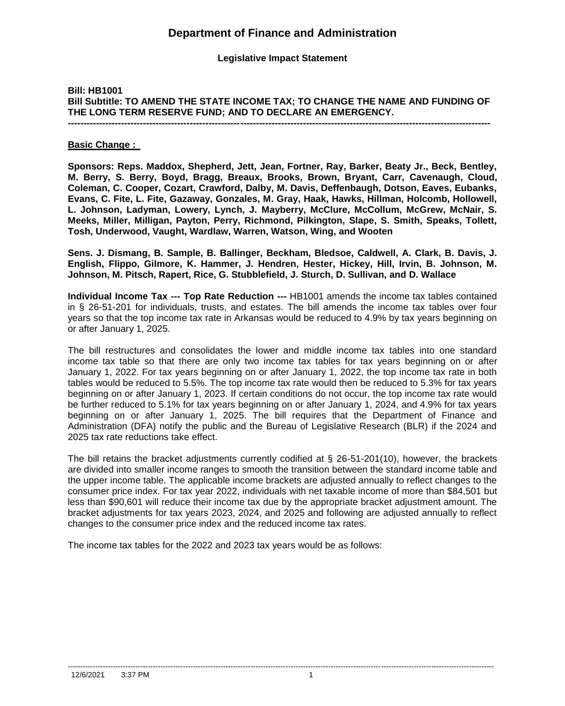**Legislative Impact Statement**

## **Bill: HB1001 Bill Subtitle: TO AMEND THE STATE INCOME TAX; TO CHANGE THE NAME AND FUNDING OF THE LONG TERM RESERVE FUND; AND TO DECLARE AN EMERGENCY. ---------------------------------------------------------------------------------------------------------------------------------------**

#### **Basic Change :**

**Sponsors: Reps. Maddox, Shepherd, Jett, Jean, Fortner, Ray, Barker, Beaty Jr., Beck, Bentley, M. Berry, S. Berry, Boyd, Bragg, Breaux, Brooks, Brown, Bryant, Carr, Cavenaugh, Cloud, Coleman, C. Cooper, Cozart, Crawford, Dalby, M. Davis, Deffenbaugh, Dotson, Eaves, Eubanks, Evans, C. Fite, L. Fite, Gazaway, Gonzales, M. Gray, Haak, Hawks, Hillman, Holcomb, Hollowell, L. Johnson, Ladyman, Lowery, Lynch, J. Mayberry, McClure, McCollum, McGrew, McNair, S. Meeks, Miller, Milligan, Payton, Perry, Richmond, Pilkington, Slape, S. Smith, Speaks, Tollett, Tosh, Underwood, Vaught, Wardlaw, Warren, Watson, Wing, and Wooten**

**Sens. J. Dismang, B. Sample, B. Ballinger, Beckham, Bledsoe, Caldwell, A. Clark, B. Davis, J. English, Flippo, Gilmore, K. Hammer, J. Hendren, Hester, Hickey, Hill, Irvin, B. Johnson, M. Johnson, M. Pitsch, Rapert, Rice, G. Stubblefield, J. Sturch, D. Sullivan, and D. Wallace** 

**Individual Income Tax --- Top Rate Reduction ---** HB1001 amends the income tax tables contained in § 26-51-201 for individuals, trusts, and estates. The bill amends the income tax tables over four years so that the top income tax rate in Arkansas would be reduced to 4.9% by tax years beginning on or after January 1, 2025.

The bill restructures and consolidates the lower and middle income tax tables into one standard income tax table so that there are only two income tax tables for tax years beginning on or after January 1, 2022. For tax years beginning on or after January 1, 2022, the top income tax rate in both tables would be reduced to 5.5%. The top income tax rate would then be reduced to 5.3% for tax years beginning on or after January 1, 2023. If certain conditions do not occur, the top income tax rate would be further reduced to 5.1% for tax years beginning on or after January 1, 2024, and 4.9% for tax years beginning on or after January 1, 2025. The bill requires that the Department of Finance and Administration (DFA) notify the public and the Bureau of Legislative Research (BLR) if the 2024 and 2025 tax rate reductions take effect.

The bill retains the bracket adjustments currently codified at § 26-51-201(10), however, the brackets are divided into smaller income ranges to smooth the transition between the standard income table and the upper income table. The applicable income brackets are adjusted annually to reflect changes to the consumer price index. For tax year 2022, individuals with net taxable income of more than \$84,501 but less than \$90,601 will reduce their income tax due by the appropriate bracket adjustment amount. The bracket adjustments for tax years 2023, 2024, and 2025 and following are adjusted annually to reflect changes to the consumer price index and the reduced income tax rates.

The income tax tables for the 2022 and 2023 tax years would be as follows: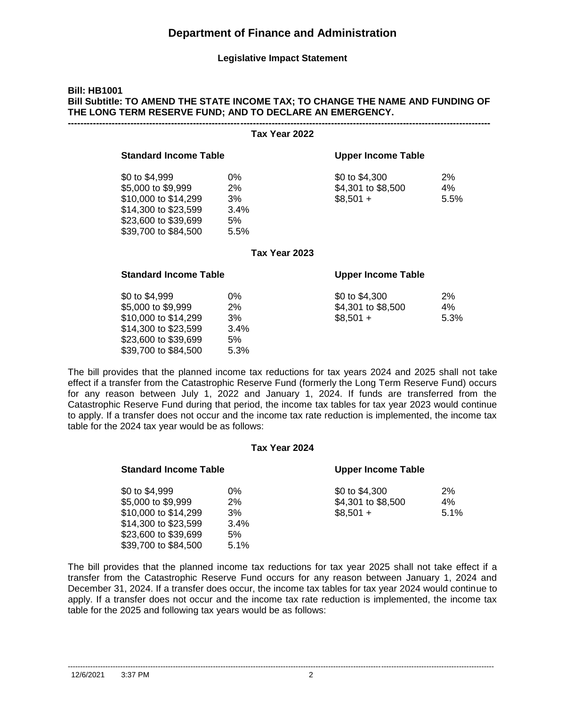### **Legislative Impact Statement**

# **Bill: HB1001 Bill Subtitle: TO AMEND THE STATE INCOME TAX; TO CHANGE THE NAME AND FUNDING OF THE LONG TERM RESERVE FUND; AND TO DECLARE AN EMERGENCY.**

|                                                                                                                                      | Tax Year 2022                           |                                                    |                     |
|--------------------------------------------------------------------------------------------------------------------------------------|-----------------------------------------|----------------------------------------------------|---------------------|
| <b>Standard Income Table</b>                                                                                                         |                                         | <b>Upper Income Table</b>                          |                     |
| \$0 to \$4,999<br>\$5,000 to \$9,999<br>\$10,000 to \$14,299<br>\$14,300 to \$23,599<br>\$23,600 to \$39,699<br>\$39,700 to \$84,500 | $0\%$<br>2%<br>3%<br>3.4%<br>5%<br>5.5% | \$0 to \$4,300<br>\$4,301 to \$8,500<br>$$8,501 +$ | 2%<br>4%<br>5.5%    |
|                                                                                                                                      | Tax Year 2023                           |                                                    |                     |
| <b>Standard Income Table</b>                                                                                                         |                                         | <b>Upper Income Table</b>                          |                     |
| \$0 to \$4,999<br>\$5,000 to \$9,999<br>\$10,000 to \$14,299<br>\$14,300 to \$23,599<br>\$23,600 to \$39,699<br>\$39,700 to \$84,500 | $0\%$<br>2%<br>3%<br>3.4%<br>5%<br>5.3% | \$0 to \$4,300<br>\$4,301 to \$8,500<br>$$8,501 +$ | $2\%$<br>4%<br>5.3% |

The bill provides that the planned income tax reductions for tax years 2024 and 2025 shall not take effect if a transfer from the Catastrophic Reserve Fund (formerly the Long Term Reserve Fund) occurs for any reason between July 1, 2022 and January 1, 2024. If funds are transferred from the Catastrophic Reserve Fund during that period, the income tax tables for tax year 2023 would continue to apply. If a transfer does not occur and the income tax rate reduction is implemented, the income tax table for the 2024 tax year would be as follows:

### **Tax Year 2024**

| <b>Standard Income Table</b>                 |            | <b>Upper Income Table</b> |      |
|----------------------------------------------|------------|---------------------------|------|
| \$0 to \$4,999                               | 0%         | \$0 to \$4,300            | 2%   |
| \$5,000 to \$9,999                           | 2%         | \$4,301 to \$8,500        | 4%   |
| \$10,000 to \$14,299<br>\$14,300 to \$23,599 | 3%<br>3.4% | $$8,501 +$                | 5.1% |
| \$23,600 to \$39,699                         | 5%         |                           |      |
| \$39,700 to \$84,500                         | 5.1%       |                           |      |

The bill provides that the planned income tax reductions for tax year 2025 shall not take effect if a transfer from the Catastrophic Reserve Fund occurs for any reason between January 1, 2024 and December 31, 2024. If a transfer does occur, the income tax tables for tax year 2024 would continue to apply. If a transfer does not occur and the income tax rate reduction is implemented, the income tax table for the 2025 and following tax years would be as follows:

--------------------------------------------------------------------------------------------------------------------------------------------------------------------------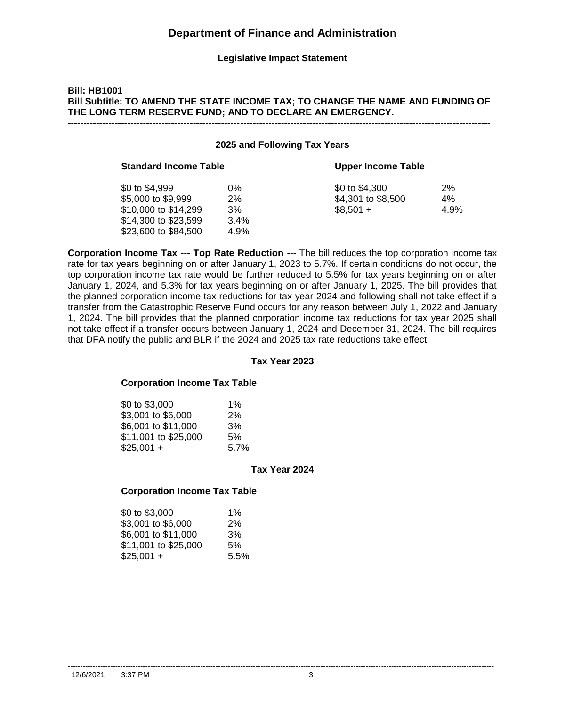### **Legislative Impact Statement**

## **Bill: HB1001 Bill Subtitle: TO AMEND THE STATE INCOME TAX; TO CHANGE THE NAME AND FUNDING OF THE LONG TERM RESERVE FUND; AND TO DECLARE AN EMERGENCY. ---------------------------------------------------------------------------------------------------------------------------------------**

#### **2025 and Following Tax Years**

| <b>Standard Income Table</b> |      | <b>Upper Income Table</b> |      |
|------------------------------|------|---------------------------|------|
| \$0 to \$4,999               | 0%   | \$0 to \$4,300            | 2%   |
| \$5,000 to \$9,999           | 2%   | \$4,301 to \$8,500        | 4%   |
| \$10,000 to \$14,299         | 3%   | $$8.501 +$                | 4.9% |
| \$14,300 to \$23,599         | 3.4% |                           |      |
| \$23,600 to \$84,500         | 4.9% |                           |      |

**Corporation Income Tax --- Top Rate Reduction ---** The bill reduces the top corporation income tax rate for tax years beginning on or after January 1, 2023 to 5.7%. If certain conditions do not occur, the top corporation income tax rate would be further reduced to 5.5% for tax years beginning on or after January 1, 2024, and 5.3% for tax years beginning on or after January 1, 2025. The bill provides that the planned corporation income tax reductions for tax year 2024 and following shall not take effect if a transfer from the Catastrophic Reserve Fund occurs for any reason between July 1, 2022 and January 1, 2024. The bill provides that the planned corporation income tax reductions for tax year 2025 shall not take effect if a transfer occurs between January 1, 2024 and December 31, 2024. The bill requires that DFA notify the public and BLR if the 2024 and 2025 tax rate reductions take effect.

### **Tax Year 2023**

#### **Corporation Income Tax Table**

| \$0 to \$3,000       | $1\%$ |
|----------------------|-------|
| \$3,001 to \$6,000   | 2%    |
| \$6,001 to \$11,000  | 3%    |
| \$11,001 to \$25,000 | .5%   |
| $$25,001 +$          | 5.7%  |

#### **Tax Year 2024**

### **Corporation Income Tax Table**

| \$0 to \$3,000       | $1\%$ |  |
|----------------------|-------|--|
| \$3,001 to \$6,000   | 2%    |  |
| \$6,001 to \$11,000  | 3%    |  |
| \$11,001 to \$25,000 | 5%    |  |
| $$25,001 +$          | 5.5%  |  |

--------------------------------------------------------------------------------------------------------------------------------------------------------------------------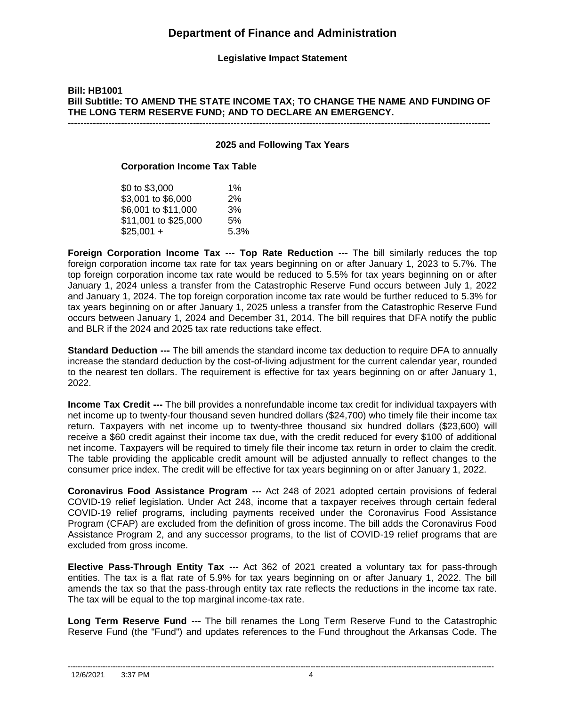**Legislative Impact Statement**

## **Bill: HB1001 Bill Subtitle: TO AMEND THE STATE INCOME TAX; TO CHANGE THE NAME AND FUNDING OF THE LONG TERM RESERVE FUND; AND TO DECLARE AN EMERGENCY. ---------------------------------------------------------------------------------------------------------------------------------------**

### **2025 and Following Tax Years**

### **Corporation Income Tax Table**

| \$0 to \$3,000       | 1%   |
|----------------------|------|
| \$3,001 to \$6,000   | 2%   |
| \$6,001 to \$11,000  | 3%   |
| \$11,001 to \$25,000 | 5%   |
| $$25,001 +$          | 5.3% |

**Foreign Corporation Income Tax --- Top Rate Reduction ---** The bill similarly reduces the top foreign corporation income tax rate for tax years beginning on or after January 1, 2023 to 5.7%. The top foreign corporation income tax rate would be reduced to 5.5% for tax years beginning on or after January 1, 2024 unless a transfer from the Catastrophic Reserve Fund occurs between July 1, 2022 and January 1, 2024. The top foreign corporation income tax rate would be further reduced to 5.3% for tax years beginning on or after January 1, 2025 unless a transfer from the Catastrophic Reserve Fund occurs between January 1, 2024 and December 31, 2014. The bill requires that DFA notify the public and BLR if the 2024 and 2025 tax rate reductions take effect.

**Standard Deduction ---** The bill amends the standard income tax deduction to require DFA to annually increase the standard deduction by the cost-of-living adjustment for the current calendar year, rounded to the nearest ten dollars. The requirement is effective for tax years beginning on or after January 1, 2022.

**Income Tax Credit ---** The bill provides a nonrefundable income tax credit for individual taxpayers with net income up to twenty-four thousand seven hundred dollars (\$24,700) who timely file their income tax return. Taxpayers with net income up to twenty-three thousand six hundred dollars (\$23,600) will receive a \$60 credit against their income tax due, with the credit reduced for every \$100 of additional net income. Taxpayers will be required to timely file their income tax return in order to claim the credit. The table providing the applicable credit amount will be adjusted annually to reflect changes to the consumer price index. The credit will be effective for tax years beginning on or after January 1, 2022.

**Coronavirus Food Assistance Program ---** Act 248 of 2021 adopted certain provisions of federal COVID-19 relief legislation. Under Act 248, income that a taxpayer receives through certain federal COVID-19 relief programs, including payments received under the Coronavirus Food Assistance Program (CFAP) are excluded from the definition of gross income. The bill adds the Coronavirus Food Assistance Program 2, and any successor programs, to the list of COVID-19 relief programs that are excluded from gross income.

**Elective Pass-Through Entity Tax ---** Act 362 of 2021 created a voluntary tax for pass-through entities. The tax is a flat rate of 5.9% for tax years beginning on or after January 1, 2022. The bill amends the tax so that the pass-through entity tax rate reflects the reductions in the income tax rate. The tax will be equal to the top marginal income-tax rate.

**Long Term Reserve Fund ---** The bill renames the Long Term Reserve Fund to the Catastrophic Reserve Fund (the "Fund") and updates references to the Fund throughout the Arkansas Code. The